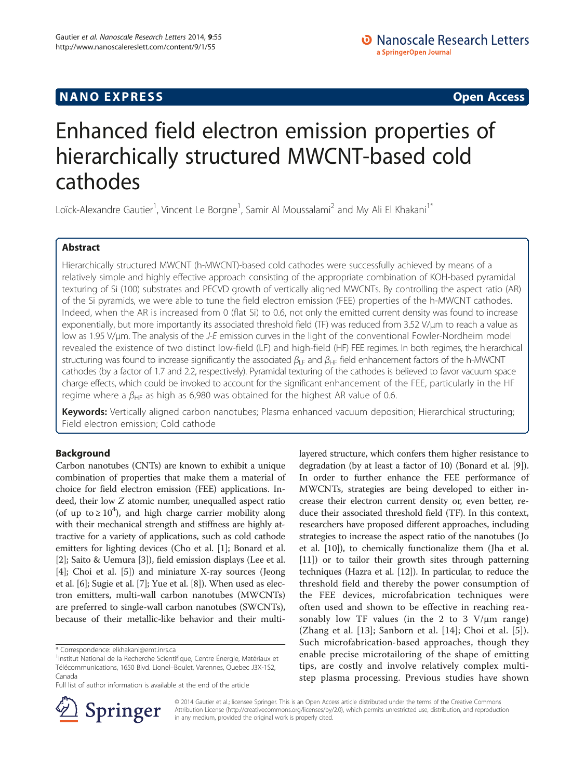## **NANO EXPRESS** Open Access **CONTROL**

# Enhanced field electron emission properties of hierarchically structured MWCNT-based cold cathodes

Loïck-Alexandre Gautier<sup>1</sup>, Vincent Le Borgne<sup>1</sup>, Samir Al Moussalami<sup>2</sup> and My Ali El Khakani<sup>1\*</sup>

## Abstract

Hierarchically structured MWCNT (h-MWCNT)-based cold cathodes were successfully achieved by means of a relatively simple and highly effective approach consisting of the appropriate combination of KOH-based pyramidal texturing of Si (100) substrates and PECVD growth of vertically aligned MWCNTs. By controlling the aspect ratio (AR) of the Si pyramids, we were able to tune the field electron emission (FEE) properties of the h-MWCNT cathodes. Indeed, when the AR is increased from 0 (flat Si) to 0.6, not only the emitted current density was found to increase exponentially, but more importantly its associated threshold field (TF) was reduced from 3.52 V/μm to reach a value as low as 1.95 V/μm. The analysis of the J-E emission curves in the light of the conventional Fowler-Nordheim model revealed the existence of two distinct low-field (LF) and high-field (HF) FEE regimes. In both regimes, the hierarchical structuring was found to increase significantly the associated  $\beta_{LF}$  and  $\beta_{HF}$  field enhancement factors of the h-MWCNT cathodes (by a factor of 1.7 and 2.2, respectively). Pyramidal texturing of the cathodes is believed to favor vacuum space charge effects, which could be invoked to account for the significant enhancement of the FEE, particularly in the HF regime where a  $\beta_{HF}$  as high as 6,980 was obtained for the highest AR value of 0.6.

Keywords: Vertically aligned carbon nanotubes; Plasma enhanced vacuum deposition; Hierarchical structuring; Field electron emission; Cold cathode

## Background

Carbon nanotubes (CNTs) are known to exhibit a unique combination of properties that make them a material of choice for field electron emission (FEE) applications. Indeed, their low Z atomic number, unequalled aspect ratio (of up to  $\geq 10^4$ ), and high charge carrier mobility along with their mechanical strength and stiffness are highly attractive for a variety of applications, such as cold cathode emitters for lighting devices (Cho et al. [\[1](#page-5-0)]; Bonard et al. [[2\]](#page-5-0); Saito & Uemura [[3](#page-5-0)]), field emission displays (Lee et al. [[4\]](#page-5-0); Choi et al. [\[5\]](#page-5-0)) and miniature X-ray sources (Jeong et al. [\[6](#page-5-0)]; Sugie et al. [\[7](#page-5-0)]; Yue et al. [\[8](#page-5-0)]). When used as electron emitters, multi-wall carbon nanotubes (MWCNTs) are preferred to single-wall carbon nanotubes (SWCNTs), because of their metallic-like behavior and their multi-





© 2014 Gautier et al.; licensee Springer. This is an Open Access article distributed under the terms of the Creative Commons Attribution License [\(http://creativecommons.org/licenses/by/2.0\)](http://creativecommons.org/licenses/by/2.0), which permits unrestricted use, distribution, and reproduction in any medium, provided the original work is properly cited.

<sup>\*</sup> Correspondence: [elkhakani@emt.inrs.ca](mailto:elkhakani@emt.inrs.ca) <sup>1</sup>

<sup>&</sup>lt;sup>1</sup>Institut National de la Recherche Scientifique, Centre Énergie, Matériaux et Télécommunications, 1650 Blvd. Lionel–Boulet, Varennes, Quebec J3X-1S2, Canada

Full list of author information is available at the end of the article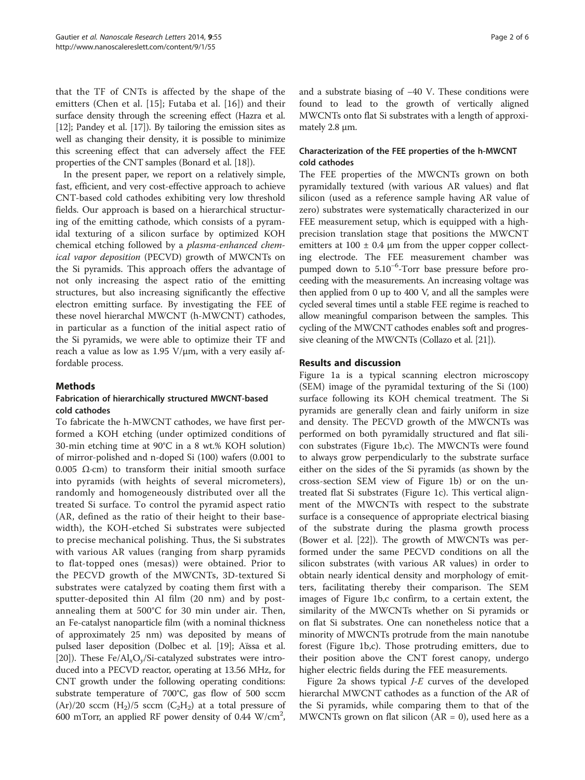that the TF of CNTs is affected by the shape of the emitters (Chen et al. [[15](#page-5-0)]; Futaba et al. [\[16\]](#page-5-0)) and their surface density through the screening effect (Hazra et al. [[12](#page-5-0)]; Pandey et al. [[17\]](#page-5-0)). By tailoring the emission sites as well as changing their density, it is possible to minimize this screening effect that can adversely affect the FEE properties of the CNT samples (Bonard et al. [[18](#page-5-0)]).

In the present paper, we report on a relatively simple, fast, efficient, and very cost-effective approach to achieve CNT-based cold cathodes exhibiting very low threshold fields. Our approach is based on a hierarchical structuring of the emitting cathode, which consists of a pyramidal texturing of a silicon surface by optimized KOH chemical etching followed by a plasma-enhanced chemical vapor deposition (PECVD) growth of MWCNTs on the Si pyramids. This approach offers the advantage of not only increasing the aspect ratio of the emitting structures, but also increasing significantly the effective electron emitting surface. By investigating the FEE of these novel hierarchal MWCNT (h-MWCNT) cathodes, in particular as a function of the initial aspect ratio of the Si pyramids, we were able to optimize their TF and reach a value as low as 1.95 V/μm, with a very easily affordable process.

## Methods

## Fabrication of hierarchically structured MWCNT-based cold cathodes

To fabricate the h-MWCNT cathodes, we have first performed a KOH etching (under optimized conditions of 30-min etching time at 90°C in a 8 wt.% KOH solution) of mirror-polished and n-doped Si (100) wafers (0.001 to 0.005  $Ω$ ·cm) to transform their initial smooth surface into pyramids (with heights of several micrometers), randomly and homogeneously distributed over all the treated Si surface. To control the pyramid aspect ratio (AR, defined as the ratio of their height to their basewidth), the KOH-etched Si substrates were subjected to precise mechanical polishing. Thus, the Si substrates with various AR values (ranging from sharp pyramids to flat-topped ones (mesas)) were obtained. Prior to the PECVD growth of the MWCNTs, 3D-textured Si substrates were catalyzed by coating them first with a sputter-deposited thin Al film (20 nm) and by postannealing them at 500°C for 30 min under air. Then, an Fe-catalyst nanoparticle film (with a nominal thickness of approximately 25 nm) was deposited by means of pulsed laser deposition (Dolbec et al. [\[19](#page-5-0)]; Aïssa et al. [[20](#page-5-0)]). These Fe/Al<sub>x</sub>O<sub>y</sub>/Si-catalyzed substrates were introduced into a PECVD reactor, operating at 13.56 MHz, for CNT growth under the following operating conditions: substrate temperature of 700°C, gas flow of 500 sccm  $(Ar)/20$  sccm  $(H_2)/5$  sccm  $(C_2H_2)$  at a total pressure of 600 mTorr, an applied RF power density of 0.44  $\mathrm{W/cm}^2$ ,

and a substrate biasing of −40 V. These conditions were found to lead to the growth of vertically aligned MWCNTs onto flat Si substrates with a length of approximately 2.8 μm.

## Characterization of the FEE properties of the h-MWCNT cold cathodes

The FEE properties of the MWCNTs grown on both pyramidally textured (with various AR values) and flat silicon (used as a reference sample having AR value of zero) substrates were systematically characterized in our FEE measurement setup, which is equipped with a highprecision translation stage that positions the MWCNT emitters at  $100 \pm 0.4$  µm from the upper copper collecting electrode. The FEE measurement chamber was pumped down to 5.10<sup>-6</sup>-Torr base pressure before proceeding with the measurements. An increasing voltage was then applied from 0 up to 400 V, and all the samples were cycled several times until a stable FEE regime is reached to allow meaningful comparison between the samples. This cycling of the MWCNT cathodes enables soft and progressive cleaning of the MWCNTs (Collazo et al. [\[21\]](#page-5-0)).

## Results and discussion

Figure [1a](#page-2-0) is a typical scanning electron microscopy (SEM) image of the pyramidal texturing of the Si (100) surface following its KOH chemical treatment. The Si pyramids are generally clean and fairly uniform in size and density. The PECVD growth of the MWCNTs was performed on both pyramidally structured and flat silicon substrates (Figure [1b](#page-2-0),c). The MWCNTs were found to always grow perpendicularly to the substrate surface either on the sides of the Si pyramids (as shown by the cross-section SEM view of Figure [1](#page-2-0)b) or on the untreated flat Si substrates (Figure [1c](#page-2-0)). This vertical alignment of the MWCNTs with respect to the substrate surface is a consequence of appropriate electrical biasing of the substrate during the plasma growth process (Bower et al. [[22](#page-5-0)]). The growth of MWCNTs was performed under the same PECVD conditions on all the silicon substrates (with various AR values) in order to obtain nearly identical density and morphology of emitters, facilitating thereby their comparison. The SEM images of Figure [1b](#page-2-0),c confirm, to a certain extent, the similarity of the MWCNTs whether on Si pyramids or on flat Si substrates. One can nonetheless notice that a minority of MWCNTs protrude from the main nanotube forest (Figure [1b](#page-2-0),c). Those protruding emitters, due to their position above the CNT forest canopy, undergo higher electric fields during the FEE measurements.

Figure [2](#page-2-0)a shows typical J-E curves of the developed hierarchal MWCNT cathodes as a function of the AR of the Si pyramids, while comparing them to that of the MWCNTs grown on flat silicon  $(AR = 0)$ , used here as a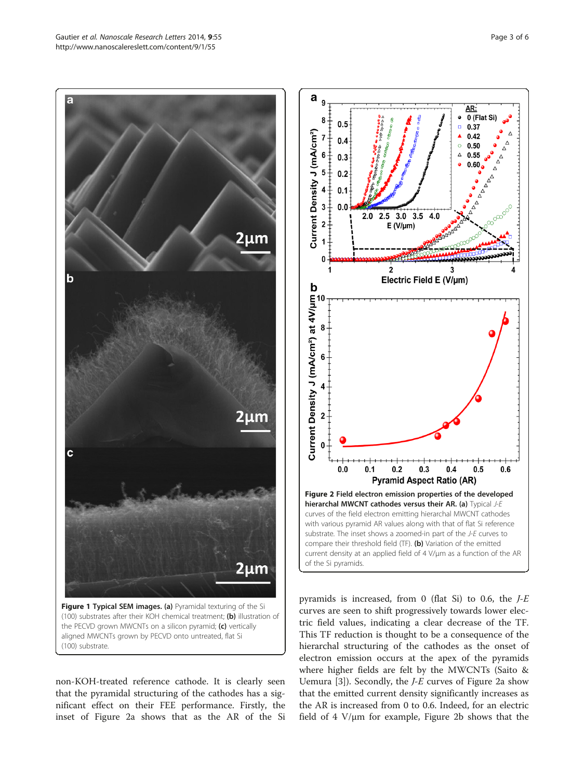aligned MWCNTs grown by PECVD onto untreated, flat Si (100) substrate.

non-KOH-treated reference cathode. It is clearly seen that the pyramidal structuring of the cathodes has a significant effect on their FEE performance. Firstly, the inset of Figure 2a shows that as the AR of the Si Current Density J (mA/cm<sup>2</sup>) at 4V/µm<br>
o<br>  $\approx$ <br>  $\approx$ <br>  $\approx$  $\overline{\mathbf{2}}$  $0.0$  $0.1$  $0.2$  $0.3$  $0.4$  $0.5$  $0.6$ **Pyramid Aspect Ratio (AR)** Figure 2 Field electron emission properties of the developed hierarchal MWCNT cathodes versus their AR. (a) Typical J-E curves of the field electron emitting hierarchal MWCNT cathodes with various pyramid AR values along with that of flat Si reference substrate. The inset shows a zoomed-in part of the J-E curves to compare their threshold field (TF). (b) Variation of the emitted current density at an applied field of 4 V/μm as a function of the AR of the Si pyramids.

pyramids is increased, from 0 (flat Si) to 0.6, the  $J-E$ curves are seen to shift progressively towards lower electric field values, indicating a clear decrease of the TF. This TF reduction is thought to be a consequence of the hierarchal structuring of the cathodes as the onset of electron emission occurs at the apex of the pyramids where higher fields are felt by the MWCNTs (Saito & Uemura  $[3]$  $[3]$ ). Secondly, the *J-E* curves of Figure 2a show that the emitted current density significantly increases as the AR is increased from 0 to 0.6. Indeed, for an electric field of  $4 \text{ V}/\mu \text{m}$  for example, Figure 2b shows that the

<span id="page-2-0"></span>



3

Electric Field E (V/µm)

a q

Current Density J (mA/cm<sup>2</sup>)

8  $0.5$ 

7

6

5  $0.2$ 

 $\overline{\mathbf{4}}$ 

 $\overline{\mathbf{3}}$  $0.0$ 

 $\overline{2}$ 

 $\overline{1}$ 0

b

 $0.4$ 

 $0.3$ 

 $0.1$ 

 $\mathbf{c}$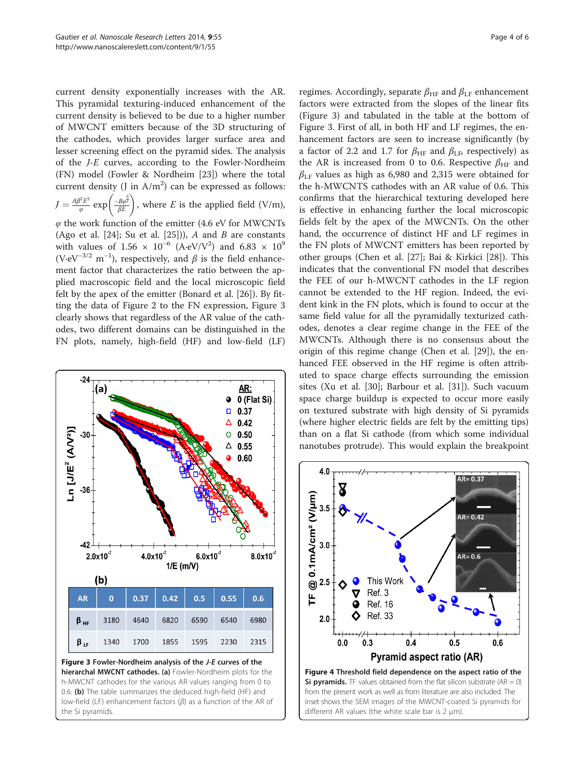<span id="page-3-0"></span>current density exponentially increases with the AR. This pyramidal texturing-induced enhancement of the current density is believed to be due to a higher number of MWCNT emitters because of the 3D structuring of the cathodes, which provides larger surface area and lesser screening effect on the pyramid sides. The analysis of the J-E curves, according to the Fowler-Nordheim (FN) model (Fowler & Nordheim [[23](#page-5-0)]) where the total current density (J in  $A/m^2$ ) can be expressed as follows:  $J = \frac{A\beta^2 E^2}{\varphi} \exp\left(\frac{-B\varphi^{\frac{3}{2}}}{\beta E}\right)$ , where E is the applied field (V/m),  $\varphi$  the work function of the emitter (4.6 eV for MWCNTs) (Ago et al. [[24](#page-5-0)]; Su et al. [[25\]](#page-5-0))), A and B are constants with values of  $1.56 \times 10^{-6}$  (A·eV/V<sup>2</sup>) and  $6.83 \times 10^{9}$ (V⋅eV<sup>-3/2</sup> m<sup>-1</sup>), respectively, and  $\beta$  is the field enhancement factor that characterizes the ratio between the applied macroscopic field and the local microscopic field felt by the apex of the emitter (Bonard et al. [[26\]](#page-5-0)). By fitting the data of Figure [2](#page-2-0) to the FN expression, Figure 3 clearly shows that regardless of the AR value of the cathodes, two different domains can be distinguished in the

FN plots, namely, high-field (HF) and low-field (LF)



Figure 3 Fowler-Nordheim analysis of the J-E curves of the hierarchal MWCNT cathodes. (a) Fowler-Nordheim plots for the h-MWCNT cathodes for the various AR values ranging from 0 to 0.6. (b) The table summarizes the deduced high-field (HF) and low-field (LF) enhancement factors (β) as a function of the AR of the Si pyramids.

regimes. Accordingly, separate  $\beta_{HF}$  and  $\beta_{LF}$  enhancement factors were extracted from the slopes of the linear fits (Figure 3) and tabulated in the table at the bottom of Figure 3. First of all, in both HF and LF regimes, the enhancement factors are seen to increase significantly (by a factor of 2.2 and 1.7 for  $\beta_{HF}$  and  $\beta_{LF}$ , respectively) as the AR is increased from 0 to 0.6. Respective  $\beta_{HF}$  and  $\beta_{LF}$  values as high as 6,980 and 2,315 were obtained for the h-MWCNTS cathodes with an AR value of 0.6. This confirms that the hierarchical texturing developed here is effective in enhancing further the local microscopic fields felt by the apex of the MWCNTs. On the other hand, the occurrence of distinct HF and LF regimes in the FN plots of MWCNT emitters has been reported by other groups (Chen et al. [[27\]](#page-5-0); Bai & Kirkici [\[28](#page-5-0)]). This indicates that the conventional FN model that describes the FEE of our h-MWCNT cathodes in the LF region cannot be extended to the HF region. Indeed, the evident kink in the FN plots, which is found to occur at the same field value for all the pyramidally texturized cathodes, denotes a clear regime change in the FEE of the MWCNTs. Although there is no consensus about the origin of this regime change (Chen et al. [[29\]](#page-5-0)), the enhanced FEE observed in the HF regime is often attributed to space charge effects surrounding the emission sites (Xu et al. [[30](#page-5-0)]; Barbour et al. [[31\]](#page-5-0)). Such vacuum space charge buildup is expected to occur more easily on textured substrate with high density of Si pyramids (where higher electric fields are felt by the emitting tips) than on a flat Si cathode (from which some individual nanotubes protrude). This would explain the breakpoint

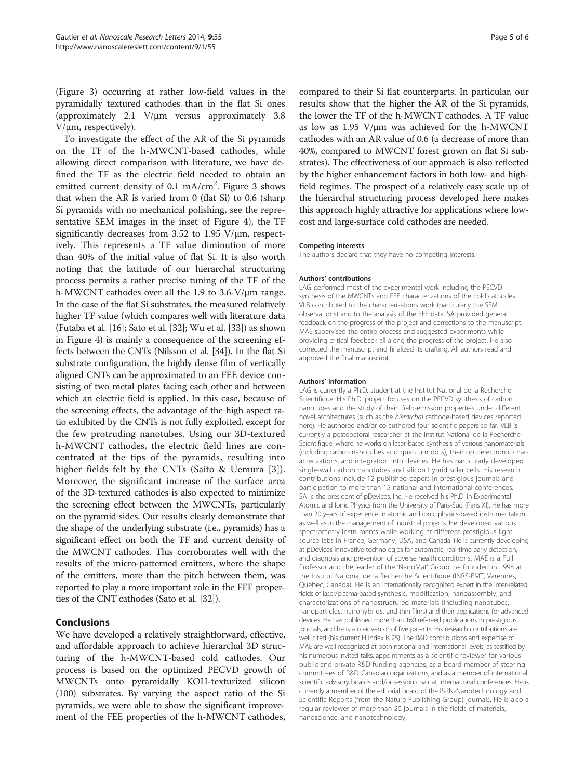(Figure [3](#page-3-0)) occurring at rather low-field values in the pyramidally textured cathodes than in the flat Si ones (approximately 2.1 V/μm versus approximately 3.8 V/μm, respectively).

To investigate the effect of the AR of the Si pyramids on the TF of the h-MWCNT-based cathodes, while allowing direct comparison with literature, we have defined the TF as the electric field needed to obtain an emitted current density of 0.1 mA/cm<sup>2</sup>. Figure [3](#page-3-0) shows that when the AR is varied from 0 (flat Si) to 0.6 (sharp Si pyramids with no mechanical polishing, see the representative SEM images in the inset of Figure [4\)](#page-3-0), the TF significantly decreases from 3.52 to 1.95 V/μm, respectively. This represents a TF value diminution of more than 40% of the initial value of flat Si. It is also worth noting that the latitude of our hierarchal structuring process permits a rather precise tuning of the TF of the h-MWCNT cathodes over all the 1.9 to 3.6-V/μm range. In the case of the flat Si substrates, the measured relatively higher TF value (which compares well with literature data (Futaba et al. [[16\]](#page-5-0); Sato et al. [[32](#page-5-0)]; Wu et al. [\[33](#page-5-0)]) as shown in Figure [4\)](#page-3-0) is mainly a consequence of the screening effects between the CNTs (Nilsson et al. [[34](#page-5-0)]). In the flat Si substrate configuration, the highly dense film of vertically aligned CNTs can be approximated to an FEE device consisting of two metal plates facing each other and between which an electric field is applied. In this case, because of the screening effects, the advantage of the high aspect ratio exhibited by the CNTs is not fully exploited, except for the few protruding nanotubes. Using our 3D-textured h-MWCNT cathodes, the electric field lines are concentrated at the tips of the pyramids, resulting into higher fields felt by the CNTs (Saito & Uemura [[3\]](#page-5-0)). Moreover, the significant increase of the surface area of the 3D-textured cathodes is also expected to minimize the screening effect between the MWCNTs, particularly on the pyramid sides. Our results clearly demonstrate that the shape of the underlying substrate (i.e., pyramids) has a significant effect on both the TF and current density of the MWCNT cathodes. This corroborates well with the results of the micro-patterned emitters, where the shape of the emitters, more than the pitch between them, was reported to play a more important role in the FEE properties of the CNT cathodes (Sato et al. [\[32](#page-5-0)]).

### Conclusions

We have developed a relatively straightforward, effective, and affordable approach to achieve hierarchal 3D structuring of the h-MWCNT-based cold cathodes. Our process is based on the optimized PECVD growth of MWCNTs onto pyramidally KOH-texturized silicon (100) substrates. By varying the aspect ratio of the Si pyramids, we were able to show the significant improvement of the FEE properties of the h-MWCNT cathodes,

compared to their Si flat counterparts. In particular, our results show that the higher the AR of the Si pyramids, the lower the TF of the h-MWCNT cathodes. A TF value as low as 1.95 V/μm was achieved for the h-MWCNT cathodes with an AR value of 0.6 (a decrease of more than 40%, compared to MWCNT forest grown on flat Si substrates). The effectiveness of our approach is also reflected by the higher enhancement factors in both low- and highfield regimes. The prospect of a relatively easy scale up of the hierarchal structuring process developed here makes this approach highly attractive for applications where lowcost and large-surface cold cathodes are needed.

#### Competing interests

The authors declare that they have no competing interests.

#### Authors' contributions

LAG performed most of the experimental work including the PECVD synthesis of the MWCNTs and FEE characterizations of the cold cathodes. VLB contributed to the characterizations work (particularly the SEM observations) and to the analysis of the FEE data. SA provided general feedback on the progress of the project and corrections to the manuscript. MAE supervised the entire process and suggested experiments while providing critical feedback all along the progress of the project. He also corrected the manuscript and finalized its drafting. All authors read and approved the final manuscript.

#### Authors' information

LAG is currently a Ph.D. student at the Institut National de la Recherche Scientifique. His Ph.D. project focuses on the PECVD synthesis of carbon nanotubes and the study of their field-emission properties under different novel architectures (such as the hierarchal cathode-based devices reported here). He authored and/or co-authored four scientific papers so far. VLB is currently a postdoctoral researcher at the Institut National de la Recherche Scientifique, where he works on laser-based synthesis of various nanomaterials (including carbon nanotubes and quantum dots), their optoelectronic characterizations, and integration into devices. He has particularly developed single-wall carbon nanotubes and silicon hybrid solar cells. His research contributions include 12 published papers in prestigious journals and participation to more than 15 national and international conferences. SA is the president of pDevices, Inc. He received his Ph.D. in Experimental Atomic and Ionic Physics from the University of Paris-Sud (Paris XI). He has more than 20 years of experience in atomic and ionic physics-based instrumentation as well as in the management of industrial projects. He developed various spectrometry instruments while working at different prestigious light source labs in France, Germany, USA, and Canada. He is currently developing at pDevices innovative technologies for automatic, real-time early detection, and diagnosis and prevention of adverse health conditions. MAE is a Full Professor and the leader of the 'NanoMat' Group, he founded in 1998 at the Institut National de la Recherche Scientifique (INRS-EMT, Varennes, Quebec, Canada). He is an internationally recognized expert in the inter-related fields of laser/plasma-based synthesis, modification, nanoassembly, and characterizations of nanostructured materials (including nanotubes, nanoparticles, nanohybrids, and thin films) and their applications for advanced devices. He has published more than 160 refereed publications in prestigious journals, and he is a co-inventor of five patents. His research contributions are well cited (his current H index is 25). The R&D contributions and expertise of MAE are well recognized at both national and international levels, as testified by his numerous invited talks, appointments as a scientific reviewer for various public and private R&D funding agencies, as a board member of steering committees of R&D Canadian organizations, and as a member of international scientific advisory boards and/or session chair at international conferences. He is currently a member of the editorial board of the ISRN-Nanotechnology and Scientific Reports (from the Nature Publishing Group) journals. He is also a regular reviewer of more than 20 journals in the fields of materials, nanoscience, and nanotechnology.